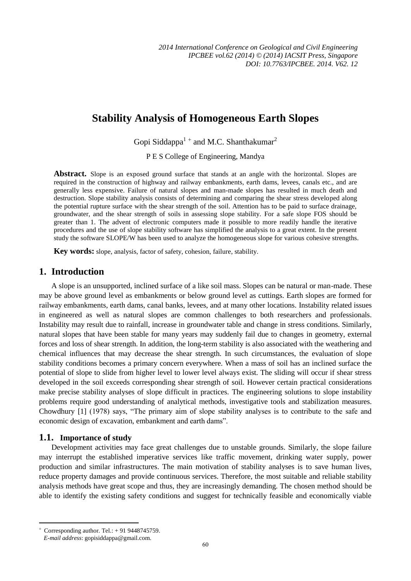# **Stability Analysis of Homogeneous Earth Slopes**

Gopi Siddappa $1 +$  and M.C. Shanthakumar<sup>2</sup>

P E S College of Engineering, Mandya

Abstract. Slope is an exposed ground surface that stands at an angle with the horizontal. Slopes are required in the construction of highway and railway embankments, earth dams, levees, canals etc., and are generally less expensive. Failure of natural slopes and man-made slopes has resulted in much death and destruction. Slope stability analysis consists of determining and comparing the shear stress developed along the potential rupture surface with the shear strength of the soil. Attention has to be paid to surface drainage, groundwater, and the shear strength of soils in assessing slope stability. For a safe slope FOS should be greater than 1. The advent of electronic computers made it possible to more readily handle the iterative procedures and the use of slope stability software has simplified the analysis to a great extent. In the present study the software SLOPE/W has been used to analyze the homogeneous slope for various cohesive strengths.

**Key words:** slope, analysis, factor of safety, cohesion, failure, stability.

# **1. Introduction**

A slope is an unsupported, inclined surface of a like soil mass. Slopes can be natural or man-made. These may be above ground level as embankments or below ground level as cuttings. Earth slopes are formed for railway embankments, earth dams, canal banks, levees, and at many other locations. Instability related issues in engineered as well as natural slopes are common challenges to both researchers and professionals. Instability may result due to rainfall, increase in groundwater table and change in stress conditions. Similarly, natural slopes that have been stable for many years may suddenly fail due to changes in geometry, external forces and loss of shear strength. In addition, the long-term stability is also associated with the weathering and chemical influences that may decrease the shear strength. In such circumstances, the evaluation of slope stability conditions becomes a primary concern everywhere. When a mass of soil has an inclined surface the potential of slope to slide from higher level to lower level always exist. The sliding will occur if shear stress developed in the soil exceeds corresponding shear strength of soil. However certain practical considerations make precise stability analyses of slope difficult in practices. The engineering solutions to slope instability problems require good understanding of analytical methods, investigative tools and stabilization measures. Chowdhury [1] (1978) says, "The primary aim of slope stability analyses is to contribute to the safe and economic design of excavation, embankment and earth dams".

## **1.1. Importance of study**

Development activities may face great challenges due to unstable grounds. Similarly, the slope failure may interrupt the established imperative services like traffic movement, drinking water supply, power production and similar infrastructures. The main motivation of stability analyses is to save human lives, reduce property damages and provide continuous services. Therefore, the most suitable and reliable stability analysis methods have great scope and thus, they are increasingly demanding. The chosen method should be able to identify the existing safety conditions and suggest for technically feasible and economically viable

 $\overline{a}$ 

 $\overline{+}$ Corresponding author. Tel.: + 91 9448745759.

*E-mail address*: gopisiddappa@gmail.com.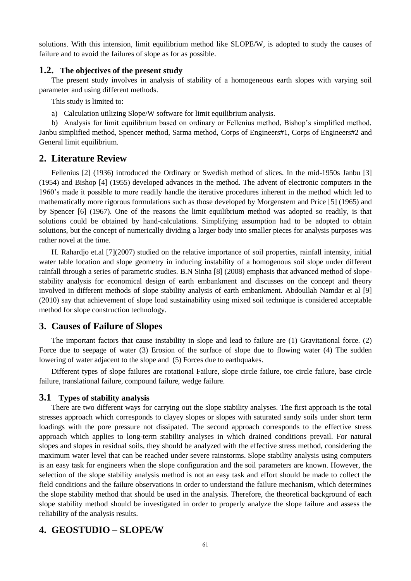solutions. With this intension, limit equilibrium method like SLOPE/W, is adopted to study the causes of failure and to avoid the failures of slope as for as possible.

#### **1.2. The objectives of the present study**

The present study involves in analysis of stability of a homogeneous earth slopes with varying soil parameter and using different methods.

This study is limited to:

a) Calculation utilizing Slope/W software for limit equilibrium analysis.

b) Analysis for limit equilibrium based on ordinary or Fellenius method, Bishop's simplified method, Janbu simplified method, Spencer method, Sarma method, Corps of Engineers#1, Corps of Engineers#2 and General limit equilibrium.

### **2. Literature Review**

Fellenius [2] (1936) introduced the Ordinary or Swedish method of slices. In the mid-1950s Janbu [3] (1954) and Bishop [4] (1955) developed advances in the method. The advent of electronic computers in the 1960's made it possible to more readily handle the iterative procedures inherent in the method which led to mathematically more rigorous formulations such as those developed by Morgenstern and Price [5] (1965) and by Spencer [6] (1967). One of the reasons the limit equilibrium method was adopted so readily, is that solutions could be obtained by hand-calculations. Simplifying assumption had to be adopted to obtain solutions, but the concept of numerically dividing a larger body into smaller pieces for analysis purposes was rather novel at the time.

H. Rahardjo et.al [7](2007) studied on the relative importance of soil properties, rainfall intensity, initial water table location and slope geometry in inducing instability of a homogenous soil slope under different rainfall through a series of parametric studies. B.N Sinha [8] (2008) emphasis that advanced method of slopestability analysis for economical design of earth embankment and discusses on the concept and theory involved in different methods of slope stability analysis of earth embankment. Abdoullah Namdar et al [9] (2010) say that achievement of slope load sustainability using mixed soil technique is considered acceptable method for slope construction technology.

## **3. Causes of Failure of Slopes**

The important factors that cause instability in slope and lead to failure are (1) Gravitational force. (2) Force due to seepage of water (3) Erosion of the surface of slope due to flowing water (4) The sudden lowering of water adjacent to the slope and (5) Forces due to earthquakes.

Different types of slope failures are rotational Failure, slope circle failure, toe circle failure, base circle failure, translational failure, compound failure, wedge failure.

#### **3.1 Types of stability analysis**

There are two different ways for carrying out the slope stability analyses. The first approach is the total stresses approach which corresponds to clayey slopes or slopes with saturated sandy soils under short term loadings with the pore pressure not dissipated. The second approach corresponds to the effective stress approach which applies to long-term stability analyses in which drained conditions prevail. For natural slopes and slopes in residual soils, they should be analyzed with the effective stress method, considering the maximum water level that can be reached under severe rainstorms. Slope stability analysis using computers is an easy task for engineers when the slope configuration and the soil parameters are known. However, the selection of the slope stability analysis method is not an easy task and effort should be made to collect the field conditions and the failure observations in order to understand the failure mechanism, which determines the slope stability method that should be used in the analysis. Therefore, the theoretical background of each slope stability method should be investigated in order to properly analyze the slope failure and assess the reliability of the analysis results.

## **4. GEOSTUDIO – SLOPE/W**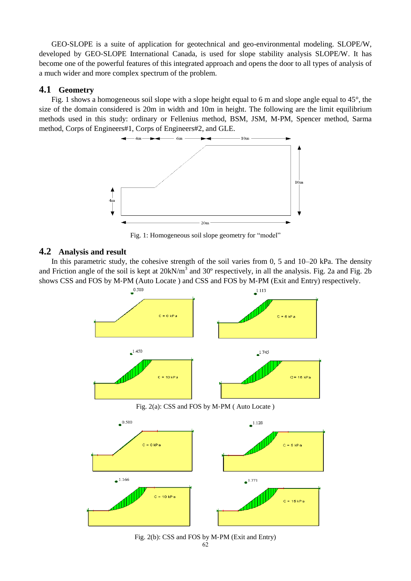GEO‐SLOPE is a suite of application for geotechnical and geo-environmental modeling. SLOPE/W, developed by GEO‐SLOPE International Canada, is used for slope stability analysis SLOPE/W. It has become one of the powerful features of this integrated approach and opens the door to all types of analysis of a much wider and more complex spectrum of the problem.

## **4.1 Geometry**

Fig. 1 shows a homogeneous soil slope with a slope height equal to 6 m and slope angle equal to 45°, the size of the domain considered is 20m in width and 10m in height. The following are the limit equilibrium methods used in this study: ordinary or Fellenius method, BSM, JSM, M‐PM, Spencer method, Sarma method, Corps of Engineers#1, Corps of Engineers#2, and GLE.



Fig. 1: Homogeneous soil slope geometry for "model"

## **4.2 Analysis and result**

In this parametric study, the cohesive strength of the soil varies from 0, 5 and 10–20 kPa. The density and Friction angle of the soil is kept at  $20kN/m<sup>3</sup>$  and 30 ° respectively, in all the analysis. Fig. 2a and Fig. 2b shows CSS and FOS by M‐PM (Auto Locate ) and CSS and FOS by M‐PM (Exit and Entry) respectively.



Fig. 2(b): CSS and FOS by M‐PM (Exit and Entry)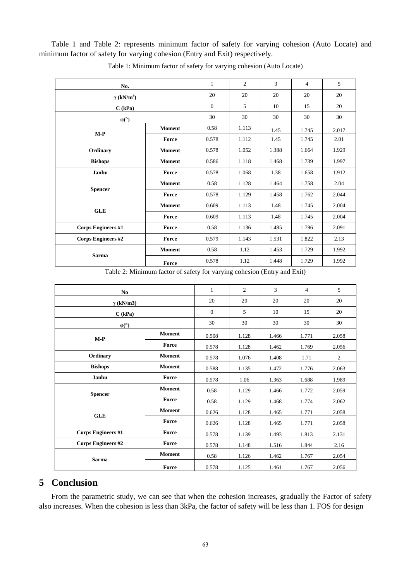Table 1 and Table 2: represents minimum factor of safety for varying cohesion (Auto Locate) and minimum factor of safety for varying cohesion (Entry and Exit) respectively.

| No.                           |               | $\mathbf{1}$   | $\mathfrak{2}$ | 3     | 4     | 5     |
|-------------------------------|---------------|----------------|----------------|-------|-------|-------|
| $\gamma$ (kN/m <sup>3</sup> ) |               | 20             | 20             | 20    | 20    | 20    |
| C (kPa)                       |               | $\overline{0}$ | 5              | 10    | 15    | 20    |
| $\varphi$ <sup>(°)</sup>      |               | 30             | 30             | 30    | 30    | 30    |
| $M-P$                         | <b>Moment</b> | 0.58           | 1.113          | 1.45  | 1.745 | 2.017 |
|                               | Force         | 0.578          | 1.112          | 1.45  | 1.745 | 2.01  |
| Ordinary                      | <b>Moment</b> | 0.578          | 1.052          | 1.388 | 1.664 | 1.929 |
| <b>Bishops</b>                | <b>Moment</b> | 0.586          | 1.118          | 1.468 | 1.739 | 1.997 |
| Janbu                         | Force         | 0.578          | 1.068          | 1.38  | 1.658 | 1.912 |
| <b>Spencer</b>                | <b>Moment</b> | 0.58           | 1.128          | 1.464 | 1.758 | 2.04  |
|                               | Force         | 0.578          | 1.129          | 1.458 | 1.762 | 2.044 |
| <b>GLE</b>                    | <b>Moment</b> | 0.609          | 1.113          | 1.48  | 1.745 | 2.004 |
|                               | Force         | 0.609          | 1.113          | 1.48  | 1.745 | 2.004 |
| <b>Corps Engineers #1</b>     | Force         | 0.58           | 1.136          | 1.485 | 1.796 | 2.091 |
| <b>Corps Engineers #2</b>     | Force         | 0.579          | 1.143          | 1.531 | 1.822 | 2.13  |
| <b>Sarma</b>                  | <b>Moment</b> | 0.58           | 1.12           | 1.453 | 1.729 | 1.992 |
|                               | Force         | 0.578          | 1.12           | 1.448 | 1.729 | 1.992 |

Table 1: Minimum factor of safety for varying cohesion (Auto Locate)

Table 2: Minimum factor of safety for varying cohesion (Entry and Exit)

| No.                                        |               | $\mathbf{1}$ | $\overline{2}$ | 3     | $\overline{4}$ | 5              |
|--------------------------------------------|---------------|--------------|----------------|-------|----------------|----------------|
| $\gamma$ (kN/m3)                           |               | 20           | 20             | 20    | 20             | 20             |
| C (kPa)                                    |               | $\theta$     | 5              | 10    | 15             | 20             |
| $\varphi$ <sup>(<math>\circ</math></sup> ) |               | 30           | 30             | 30    | 30             | 30             |
| $M-P$                                      | <b>Moment</b> | 0.508        | 1.128          | 1.466 | 1.771          | 2.058          |
|                                            | Force         | 0.578        | 1.128          | 1.462 | 1.769          | 2.056          |
| Ordinary                                   | <b>Moment</b> | 0.578        | 1.076          | 1.408 | 1.71           | $\overline{c}$ |
| <b>Bishops</b>                             | <b>Moment</b> | 0.588        | 1.135          | 1.472 | 1.776          | 2.063          |
| Janbu                                      | Force         | 0.578        | 1.06           | 1.363 | 1.688          | 1.989          |
| <b>Spencer</b>                             | <b>Moment</b> | 0.58         | 1.129          | 1.466 | 1.772          | 2.059          |
|                                            | Force         | 0.58         | 1.129          | 1.468 | 1.774          | 2.062          |
| <b>GLE</b>                                 | <b>Moment</b> | 0.626        | 1.128          | 1.465 | 1.771          | 2.058          |
|                                            | Force         | 0.626        | 1.128          | 1.465 | 1.771          | 2.058          |
| <b>Corps Engineers #1</b>                  | Force         | 0.578        | 1.139          | 1.493 | 1.813          | 2.131          |
| <b>Corps Engineers #2</b>                  | Force         | 0.578        | 1.148          | 1.516 | 1.844          | 2.16           |
| <b>Sarma</b>                               | <b>Moment</b> | 0.58         | 1.126          | 1.462 | 1.767          | 2.054          |
|                                            | Force         | 0.578        | 1.125          | 1.461 | 1.767          | 2.056          |

# **5 Conclusion**

From the parametric study, we can see that when the cohesion increases, gradually the Factor of safety also increases. When the cohesion is less than 3kPa, the factor of safety will be less than 1. FOS for design